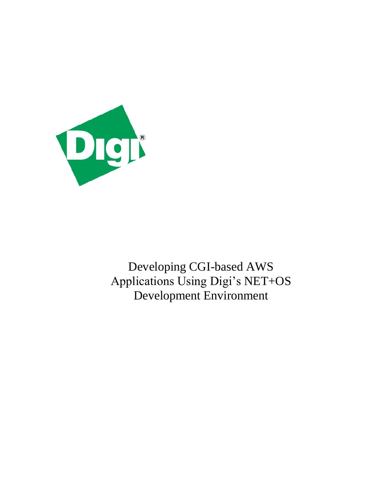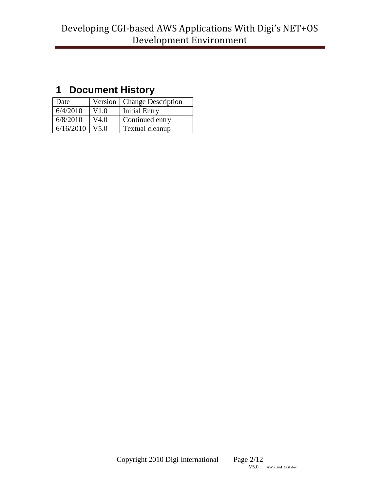# <span id="page-1-0"></span>**1 Document History**

| Date             |      | Version   Change Description |  |
|------------------|------|------------------------------|--|
| 6/4/2010         | V1.0 | <b>Initial Entry</b>         |  |
| 6/8/2010         | V4.0 | Continued entry              |  |
| $6/16/2010$ V5.0 |      | Textual cleanup              |  |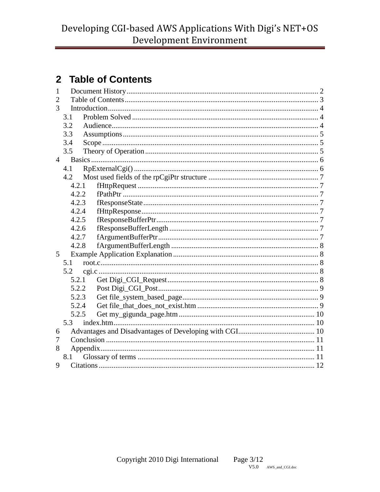# <span id="page-2-0"></span>2 Table of Contents

| 1              |       |  |  |  |  |
|----------------|-------|--|--|--|--|
| $\overline{2}$ |       |  |  |  |  |
| 3              |       |  |  |  |  |
|                | 3.1   |  |  |  |  |
|                | 3.2   |  |  |  |  |
|                | 3.3   |  |  |  |  |
|                | 3.4   |  |  |  |  |
|                | 3.5   |  |  |  |  |
| $\overline{4}$ |       |  |  |  |  |
|                | 4.1   |  |  |  |  |
|                | 4.2   |  |  |  |  |
|                | 4.2.1 |  |  |  |  |
|                | 4.2.2 |  |  |  |  |
|                | 4.2.3 |  |  |  |  |
|                | 4.2.4 |  |  |  |  |
|                | 4.2.5 |  |  |  |  |
|                | 4.2.6 |  |  |  |  |
|                | 4.2.7 |  |  |  |  |
|                | 4.2.8 |  |  |  |  |
| 5              |       |  |  |  |  |
| 5.1            |       |  |  |  |  |
|                | 5.2   |  |  |  |  |
|                | 5.2.1 |  |  |  |  |
|                | 5.2.2 |  |  |  |  |
|                | 5.2.3 |  |  |  |  |
|                | 5.2.4 |  |  |  |  |
|                | 5.2.5 |  |  |  |  |
| 5.3            |       |  |  |  |  |
| 6              |       |  |  |  |  |
| 7              |       |  |  |  |  |
| 8              |       |  |  |  |  |
| 8.1            |       |  |  |  |  |
| 9              |       |  |  |  |  |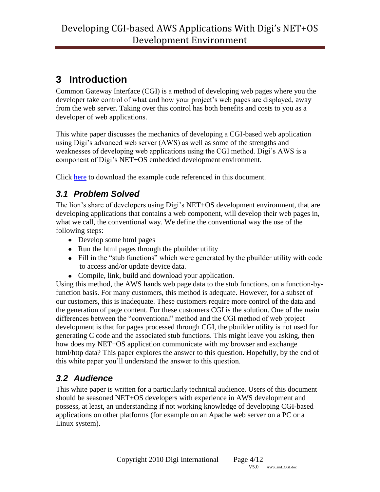# <span id="page-3-0"></span>**3 Introduction**

Common Gateway Interface (CGI) is a method of developing web pages where you the developer take control of what and how your project's web pages are displayed, away from the web server. Taking over this control has both benefits and costs to you as a developer of web applications.

This white paper discusses the mechanics of developing a CGI-based web application using Digi's advanced web server (AWS) as well as some of the strengths and weaknesses of developing web applications using the CGI method. Digi's AWS is a component of Digi's NET+OS embedded development environment.

Click [here](http://ftp1.digi.com/support/documentation/cgi_project.zip) to download the example code referenced in this document.

## <span id="page-3-1"></span>*3.1 Problem Solved*

The lion's share of developers using Digi's NET+OS development environment, that are developing applications that contains a web component, will develop their web pages in, what we call, the conventional way. We define the conventional way the use of the following steps:

- Develop some html pages
- Run the html pages through the pbuilder utility
- Fill in the "stub functions" which were generated by the pbuilder utility with code to access and/or update device data.
- Compile, link, build and download your application.

Using this method, the AWS hands web page data to the stub functions, on a function-byfunction basis. For many customers, this method is adequate. However, for a subset of our customers, this is inadequate. These customers require more control of the data and the generation of page content. For these customers CGI is the solution. One of the main differences between the "conventional" method and the CGI method of web project development is that for pages processed through CGI, the pbuilder utility is not used for generating C code and the associated stub functions. This might leave you asking, then how does my NET+OS application communicate with my browser and exchange html/http data? This paper explores the answer to this question. Hopefully, by the end of this white paper you'll understand the answer to this question.

## <span id="page-3-2"></span>*3.2 Audience*

This white paper is written for a particularly technical audience. Users of this document should be seasoned NET+OS developers with experience in AWS development and possess, at least, an understanding if not working knowledge of developing CGI-based applications on other platforms (for example on an Apache web server on a PC or a Linux system).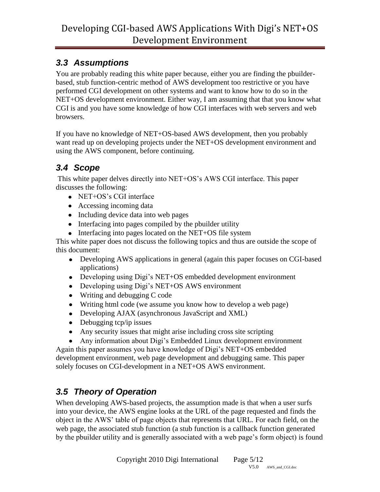## <span id="page-4-0"></span>*3.3 Assumptions*

You are probably reading this white paper because, either you are finding the pbuilderbased, stub function-centric method of AWS development too restrictive or you have performed CGI development on other systems and want to know how to do so in the NET+OS development environment. Either way, I am assuming that that you know what CGI is and you have some knowledge of how CGI interfaces with web servers and web browsers.

If you have no knowledge of NET+OS-based AWS development, then you probably want read up on developing projects under the NET+OS development environment and using the AWS component, before continuing.

## <span id="page-4-1"></span>*3.4 Scope*

This white paper delves directly into NET+OS's AWS CGI interface. This paper discusses the following:

- NET+OS's CGI interface
- Accessing incoming data
- Including device data into web pages
- Interfacing into pages compiled by the possible utility
- Interfacing into pages located on the NET+OS file system

This white paper does not discuss the following topics and thus are outside the scope of this document:

- Developing AWS applications in general (again this paper focuses on CGI-based applications)
- Developing using Digi's NET+OS embedded development environment
- Developing using Digi's NET+OS AWS environment
- Writing and debugging C code
- Writing html code (we assume you know how to develop a web page)
- Developing AJAX (asynchronous JavaScript and XML)
- $\bullet$  Debugging tcp/ip issues
- Any security issues that might arise including cross site scripting
- Any information about Digi's Embedded Linux development environment

Again this paper assumes you have knowledge of Digi's NET+OS embedded development environment, web page development and debugging same. This paper solely focuses on CGI-development in a NET+OS AWS environment.

# <span id="page-4-2"></span>*3.5 Theory of Operation*

When developing AWS-based projects, the assumption made is that when a user surfs into your device, the AWS engine looks at the URL of the page requested and finds the object in the AWS' table of page objects that represents that URL. For each field, on the web page, the associated stub function (a stub function is a callback function generated by the pbuilder utility and is generally associated with a web page's form object) is found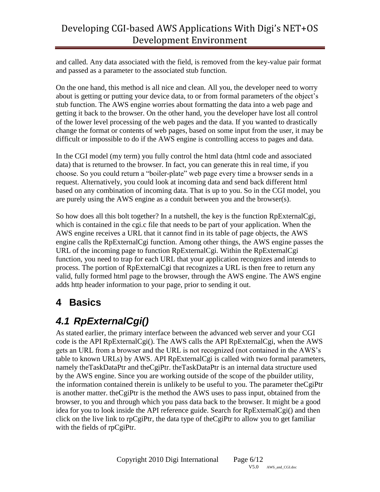and called. Any data associated with the field, is removed from the key-value pair format and passed as a parameter to the associated stub function.

On the one hand, this method is all nice and clean. All you, the developer need to worry about is getting or putting your device data, to or from formal parameters of the object's stub function. The AWS engine worries about formatting the data into a web page and getting it back to the browser. On the other hand, you the developer have lost all control of the lower level processing of the web pages and the data. If you wanted to drastically change the format or contents of web pages, based on some input from the user, it may be difficult or impossible to do if the AWS engine is controlling access to pages and data.

In the CGI model (my term) you fully control the html data (html code and associated data) that is returned to the browser. In fact, you can generate this in real time, if you choose. So you could return a "boiler-plate" web page every time a browser sends in a request. Alternatively, you could look at incoming data and send back different html based on any combination of incoming data. That is up to you. So in the CGI model, you are purely using the AWS engine as a conduit between you and the browser(s).

So how does all this bolt together? In a nutshell, the key is the function RpExternalCgi, which is contained in the cgi.c file that needs to be part of your application. When the AWS engine receives a URL that it cannot find in its table of page objects, the AWS engine calls the RpExternalCgi function. Among other things, the AWS engine passes the URL of the incoming page to function RpExternalCgi. Within the RpExternalCgi function, you need to trap for each URL that your application recognizes and intends to process. The portion of RpExternalCgi that recognizes a URL is then free to return any valid, fully formed html page to the browser, through the AWS engine. The AWS engine adds http header information to your page, prior to sending it out.

# <span id="page-5-0"></span>**4 Basics**

# <span id="page-5-1"></span>*4.1 RpExternalCgi()*

As stated earlier, the primary interface between the advanced web server and your CGI code is the API RpExternalCgi(). The AWS calls the API RpExternalCgi, when the AWS gets an URL from a browser and the URL is not recognized (not contained in the AWS's table to known URLs) by AWS. API RpExternalCgi is called with two formal parameters, namely theTaskDataPtr and theCgiPtr. theTaskDataPtr is an internal data structure used by the AWS engine. Since you are working outside of the scope of the pbuilder utility, the information contained therein is unlikely to be useful to you. The parameter theCgiPtr is another matter. theCgiPtr is the method the AWS uses to pass input, obtained from the browser, to you and through which you pass data back to the browser. It might be a good idea for you to look inside the API reference guide. Search for RpExternalCgi() and then click on the live link to rpCgiPtr, the data type of theCgiPtr to allow you to get familiar with the fields of rpCgiPtr.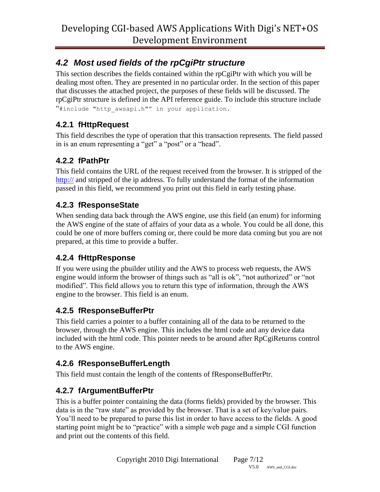## <span id="page-6-0"></span>*4.2 Most used fields of the rpCgiPtr structure*

This section describes the fields contained within the rpCgiPtr with which you will be dealing most often. They are presented in no particular order. In the section of this paper that discusses the attached project, the purposes of these fields will be discussed. The rpCgiPtr structure is defined in the API reference guide. To include this structure include "#include "http\_awsapi.h"" in your application.

### <span id="page-6-1"></span>**4.2.1 fHttpRequest**

This field describes the type of operation that this transaction represents. The field passed in is an enum representing a "get" a "post" or a "head".

### <span id="page-6-2"></span>**4.2.2 fPathPtr**

This field contains the URL of the request received from the browser. It is stripped of the <http://> and stripped of the ip address. To fully understand the format of the information passed in this field, we recommend you print out this field in early testing phase.

### <span id="page-6-3"></span>**4.2.3 fResponseState**

When sending data back through the AWS engine, use this field (an enum) for informing the AWS engine of the state of affairs of your data as a whole. You could be all done, this could be one of more buffers coming or, there could be more data coming but you are not prepared, at this time to provide a buffer.

### <span id="page-6-4"></span>**4.2.4 fHttpResponse**

If you were using the pbuilder utility and the AWS to process web requests, the AWS engine would inform the browser of things such as "all is ok", "not authorized" or "not modified". This field allows you to return this type of information, through the AWS engine to the browser. This field is an enum.

### <span id="page-6-5"></span>**4.2.5 fResponseBufferPtr**

This field carries a pointer to a buffer containing all of the data to be returned to the browser, through the AWS engine. This includes the html code and any device data included with the html code. This pointer needs to be around after RpCgiReturns control to the AWS engine.

### <span id="page-6-6"></span>**4.2.6 fResponseBufferLength**

This field must contain the length of the contents of fResponseBufferPtr.

## <span id="page-6-7"></span>**4.2.7 fArgumentBufferPtr**

This is a buffer pointer containing the data (forms fields) provided by the browser. This data is in the "raw state" as provided by the browser. That is a set of key/value pairs. You'll need to be prepared to parse this list in order to have access to the fields. A good starting point might be to "practice" with a simple web page and a simple CGI function and print out the contents of this field.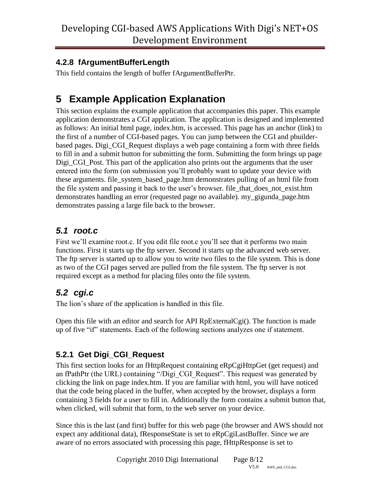### <span id="page-7-0"></span>**4.2.8 fArgumentBufferLength**

This field contains the length of buffer fArgumentBufferPtr.

# <span id="page-7-1"></span>**5 Example Application Explanation**

This section explains the example application that accompanies this paper. This example application demonstrates a CGI application. The application is designed and implemented as follows: An initial html page, index.htm, is accessed. This page has an anchor (link) to the first of a number of CGI-based pages. You can jump between the CGI and pbuilderbased pages. Digi\_CGI\_Request displays a web page containing a form with three fields to fill in and a submit button for submitting the form. Submitting the form brings up page Digi CGI Post. This part of the application also prints out the arguments that the user entered into the form (on submission you'll probably want to update your device with these arguments. file\_system\_based\_page.htm demonstrates pulling of an html file from the file system and passing it back to the user's browser. file\_that\_does\_not\_exist.htm demonstrates handling an error (requested page no available). my\_gigunda\_page.htm demonstrates passing a large file back to the browser.

### <span id="page-7-2"></span>*5.1 root.c*

First we'll examine root.c. If you edit file root.c you'll see that it performs two main functions. First it starts up the ftp server. Second it starts up the advanced web server. The ftp server is started up to allow you to write two files to the file system. This is done as two of the CGI pages served are pulled from the file system. The ftp server is not required except as a method for placing files onto the file system.

## <span id="page-7-3"></span>*5.2 cgi.c*

The lion's share of the application is handled in this file.

Open this file with an editor and search for API RpExternalCgi(). The function is made up of five "if" statements. Each of the following sections analyzes one if statement.

### <span id="page-7-4"></span>**5.2.1 Get Digi\_CGI\_Request**

This first section looks for an fHttpRequest containing eRpCgiHttpGet (get request) and an fPathPtr (the URL) containing "/Digi\_CGI\_Request". This request was generated by clicking the link on page index.htm. If you are familiar with html, you will have noticed that the code being placed in the buffer, when accepted by the browser, displays a form containing 3 fields for a user to fill in. Additionally the form contains a submit button that, when clicked, will submit that form, to the web server on your device.

Since this is the last (and first) buffer for this web page (the browser and AWS should not expect any additional data), fResponseState is set to eRpCgiLastBuffer. Since we are aware of no errors associated with processing this page, fHttpResponse is set to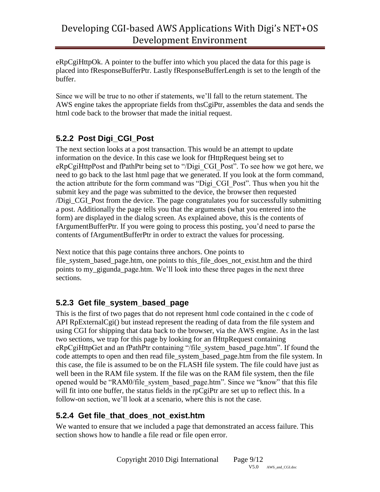eRpCgiHttpOk. A pointer to the buffer into which you placed the data for this page is placed into fResponseBufferPtr. Lastly fResponseBufferLength is set to the length of the buffer.

Since we will be true to no other if statements, we'll fall to the return statement. The AWS engine takes the appropriate fields from thsCgiPtr, assembles the data and sends the html code back to the browser that made the initial request.

### <span id="page-8-0"></span>**5.2.2 Post Digi\_CGI\_Post**

The next section looks at a post transaction. This would be an attempt to update information on the device. In this case we look for fHttpRequest being set to eRpCgiHttpPost and fPathPtr being set to "/Digi\_CGI\_Post". To see how we got here, we need to go back to the last html page that we generated. If you look at the form command, the action attribute for the form command was "Digi\_CGI\_Post". Thus when you hit the submit key and the page was submitted to the device, the browser then requested /Digi\_CGI\_Post from the device. The page congratulates you for successfully submitting a post. Additionally the page tells you that the arguments (what you entered into the form) are displayed in the dialog screen. As explained above, this is the contents of fArgumentBufferPtr. If you were going to process this posting, you'd need to parse the contents of fArgumentBufferPtr in order to extract the values for processing.

Next notice that this page contains three anchors. One points to file\_system\_based\_page.htm, one points to this\_file\_does\_not\_exist.htm and the third points to my\_gigunda\_page.htm. We'll look into these three pages in the next three sections.

### <span id="page-8-1"></span>**5.2.3 Get file\_system\_based\_page**

This is the first of two pages that do not represent html code contained in the c code of API RpExternalCgi() but instead represent the reading of data from the file system and using CGI for shipping that data back to the browser, via the AWS engine. As in the last two sections, we trap for this page by looking for an fHttpRequest containing eRpCgiHttpGet and an fPathPtr containing "/file\_system\_based\_page.htm". If found the code attempts to open and then read file system based page.htm from the file system. In this case, the file is assumed to be on the FLASH file system. The file could have just as well been in the RAM file system. If the file was on the RAM file system, then the file opened would be "RAM0/file\_system\_based\_page.htm". Since we "know" that this file will fit into one buffer, the status fields in the rpCgiPtr are set up to reflect this. In a follow-on section, we'll look at a scenario, where this is not the case.

#### <span id="page-8-2"></span>**5.2.4 Get file\_that\_does\_not\_exist.htm**

We wanted to ensure that we included a page that demonstrated an access failure. This section shows how to handle a file read or file open error.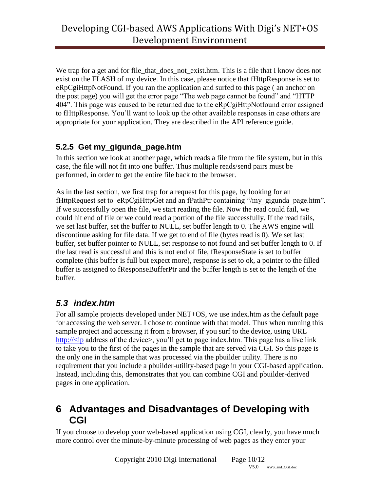We trap for a get and for file\_that\_does\_not\_exist.htm. This is a file that I know does not exist on the FLASH of my device. In this case, please notice that fHttpResponse is set to eRpCgiHttpNotFound. If you ran the application and surfed to this page ( an anchor on the post page) you will get the error page "The web page cannot be found" and "HTTP 404". This page was caused to be returned due to the eRpCgiHttpNotfound error assigned to fHttpResponse. You'll want to look up the other available responses in case others are appropriate for your application. They are described in the API reference guide.

#### <span id="page-9-0"></span>**5.2.5 Get my\_gigunda\_page.htm**

In this section we look at another page, which reads a file from the file system, but in this case, the file will not fit into one buffer. Thus multiple reads/send pairs must be performed, in order to get the entire file back to the browser.

As in the last section, we first trap for a request for this page, by looking for an fHttpRequest set to eRpCgiHttpGet and an fPathPtr containing "/my\_gigunda\_page.htm". If we successfully open the file, we start reading the file. Now the read could fail, we could hit end of file or we could read a portion of the file successfully. If the read fails, we set last buffer, set the buffer to NULL, set buffer length to 0. The AWS engine will discontinue asking for file data. If we get to end of file (bytes read is 0). We set last buffer, set buffer pointer to NULL, set response to not found and set buffer length to 0. If the last read is successful and this is not end of file, fResponseState is set to buffer complete (this buffer is full but expect more), response is set to ok, a pointer to the filled buffer is assigned to fResponseBufferPtr and the buffer length is set to the length of the buffer.

### <span id="page-9-1"></span>*5.3 index.htm*

For all sample projects developed under NET+OS, we use index.htm as the default page for accessing the web server. I chose to continue with that model. Thus when running this sample project and accessing it from a browser, if you surf to the device, using URL http:// $\langle$ ip address of the device $\rangle$ , you'll get to page index.htm. This page has a live link to take you to the first of the pages in the sample that are served via CGI. So this page is the only one in the sample that was processed via the pbuilder utility. There is no requirement that you include a pbuilder-utility-based page in your CGI-based application. Instead, including this, demonstrates that you can combine CGI and pbuilder-derived pages in one application.

### <span id="page-9-2"></span>**6 Advantages and Disadvantages of Developing with CGI**

If you choose to develop your web-based application using CGI, clearly, you have much more control over the minute-by-minute processing of web pages as they enter your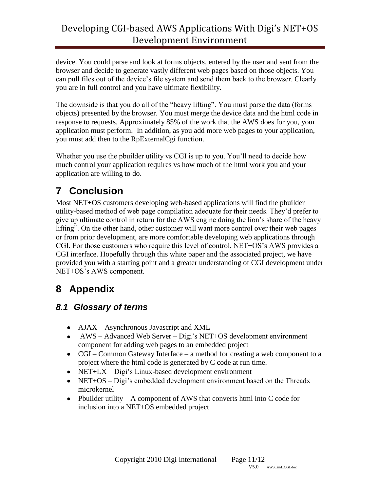device. You could parse and look at forms objects, entered by the user and sent from the browser and decide to generate vastly different web pages based on those objects. You can pull files out of the device's file system and send them back to the browser. Clearly you are in full control and you have ultimate flexibility.

The downside is that you do all of the "heavy lifting". You must parse the data (forms objects) presented by the browser. You must merge the device data and the html code in response to requests. Approximately 85% of the work that the AWS does for you, your application must perform. In addition, as you add more web pages to your application, you must add then to the RpExternalCgi function.

Whether you use the pbuilder utility vs CGI is up to you. You'll need to decide how much control your application requires vs how much of the html work you and your application are willing to do.

# <span id="page-10-0"></span>**7 Conclusion**

Most NET+OS customers developing web-based applications will find the pbuilder utility-based method of web page compilation adequate for their needs. They'd prefer to give up ultimate control in return for the AWS engine doing the lion's share of the heavy lifting". On the other hand, other customer will want more control over their web pages or from prior development, are more comfortable developing web applications through CGI. For those customers who require this level of control, NET+OS's AWS provides a CGI interface. Hopefully through this white paper and the associated project, we have provided you with a starting point and a greater understanding of CGI development under NET+OS's AWS component.

# <span id="page-10-1"></span>**8 Appendix**

### <span id="page-10-2"></span>*8.1 Glossary of terms*

- AJAX Asynchronous Javascript and XML
- AWS Advanced Web Server Digi's NET+OS development environment component for adding web pages to an embedded project
- CGI Common Gateway Interface a method for creating a web component to a project where the html code is generated by C code at run time.
- NET+LX Digi's Linux-based development environment
- NET+OS Digi's embedded development environment based on the Threadx microkernel
- Pbuilder utility  $A$  component of AWS that converts html into C code for inclusion into a NET+OS embedded project